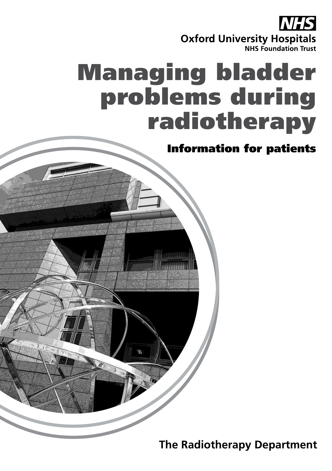

## Managing bladder problems during radiotherapy

Information for patients

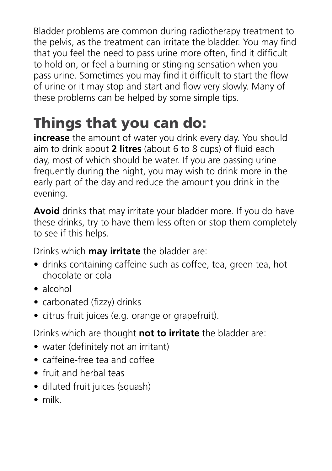Bladder problems are common during radiotherapy treatment to the pelvis, as the treatment can irritate the bladder. You may find that you feel the need to pass urine more often, find it difficult to hold on, or feel a burning or stinging sensation when you pass urine. Sometimes you may find it difficult to start the flow of urine or it may stop and start and flow very slowly. Many of these problems can be helped by some simple tips.

## Things that you can do:

**increase** the amount of water you drink every day. You should aim to drink about **2 litres** (about 6 to 8 cups) of fluid each day, most of which should be water. If you are passing urine frequently during the night, you may wish to drink more in the early part of the day and reduce the amount you drink in the evening.

**Avoid** drinks that may irritate your bladder more. If you do have these drinks, try to have them less often or stop them completely to see if this helps.

Drinks which **may irritate** the bladder are:

- drinks containing caffeine such as coffee, tea, green tea, hot chocolate or cola
- alcohol
- carbonated (fizzy) drinks
- citrus fruit juices (e.g. orange or grapefruit).

Drinks which are thought **not to irritate** the bladder are:

- water (definitely not an irritant)
- caffeine-free tea and coffee
- fruit and herbal teas
- diluted fruit juices (squash)
- milk.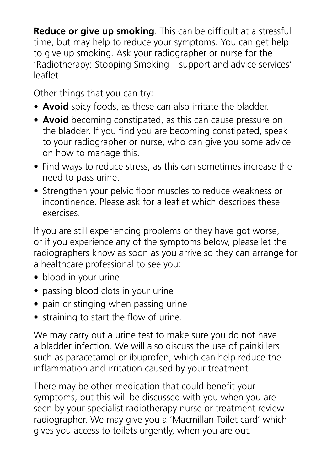**Reduce or give up smoking**. This can be difficult at a stressful time, but may help to reduce your symptoms. You can get help to give up smoking. Ask your radiographer or nurse for the 'Radiotherapy: Stopping Smoking – support and advice services' leaflet.

Other things that you can try:

- **Avoid** spicy foods, as these can also irritate the bladder.
- **Avoid** becoming constipated, as this can cause pressure on the bladder. If you find you are becoming constipated, speak to your radiographer or nurse, who can give you some advice on how to manage this.
- Find ways to reduce stress, as this can sometimes increase the need to pass urine.
- Strengthen your pelvic floor muscles to reduce weakness or incontinence. Please ask for a leaflet which describes these exercises.

If you are still experiencing problems or they have got worse, or if you experience any of the symptoms below, please let the radiographers know as soon as you arrive so they can arrange for a healthcare professional to see you:

- blood in your urine
- passing blood clots in your urine
- pain or stinging when passing urine
- straining to start the flow of urine.

We may carry out a urine test to make sure you do not have a bladder infection. We will also discuss the use of painkillers such as paracetamol or ibuprofen, which can help reduce the inflammation and irritation caused by your treatment.

There may be other medication that could benefit your symptoms, but this will be discussed with you when you are seen by your specialist radiotherapy nurse or treatment review radiographer. We may give you a 'Macmillan Toilet card' which gives you access to toilets urgently, when you are out.